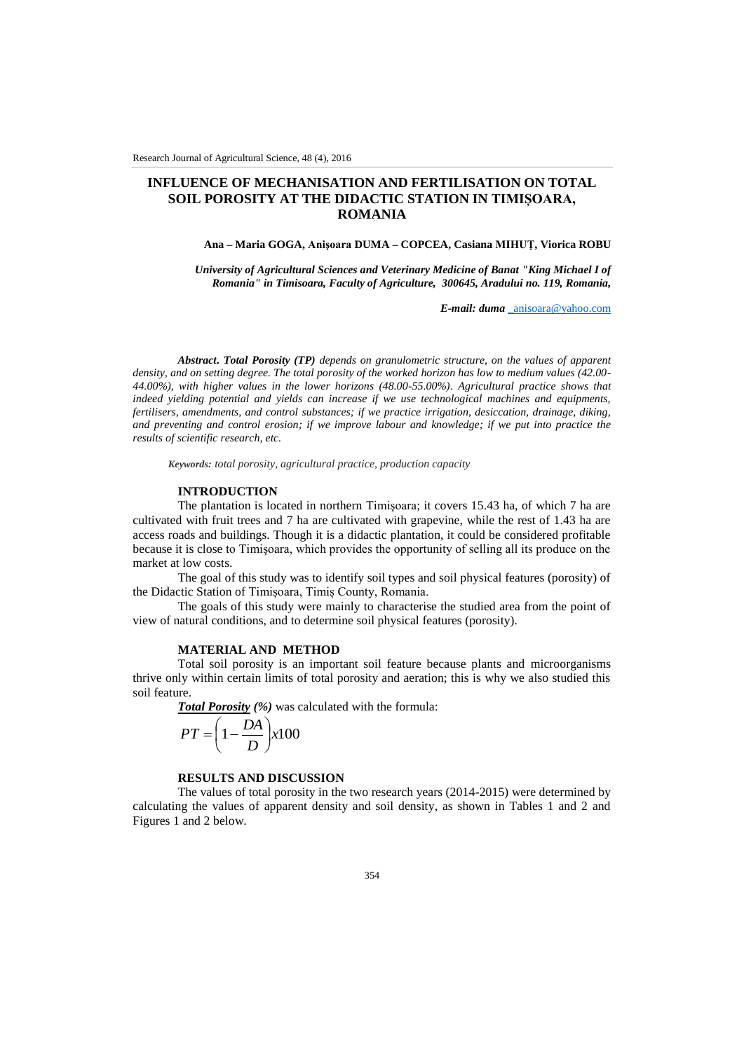# **INFLUENCE OF MECHANISATION AND FERTILISATION ON TOTAL SOIL POROSITY AT THE DIDACTIC STATION IN TIMIȘOARA, ROMANIA**

### **Ana – Maria GOGA, Anişoara DUMA – COPCEA, Casiana MIHUŢ, Viorica ROBU**

*University of Agricultural Sciences and Veterinary Medicine of Banat "King Michael I of Romania" in Timisoara, Faculty of Agriculture, 300645, Aradului no. 119, Romania,*

*E-mail: duma* [\\_anisoara@yahoo.com](mailto:_anisoara@yahoo.com)

*Abstract***.** *Total Porosity (TP) depends on granulometric structure, on the values of apparent density, and on setting degree. The total porosity of the worked horizon has low to medium values (42.00- 44.00%), with higher values in the lower horizons (48.00-55.00%). Agricultural practice shows that indeed yielding potential and yields can increase if we use technological machines and equipments, fertilisers, amendments, and control substances; if we practice irrigation, desiccation, drainage, diking, and preventing and control erosion; if we improve labour and knowledge; if we put into practice the results of scientific research, etc.*

*Keywords: total porosity, agricultural practice, production capacity*

#### **INTRODUCTION**

The plantation is located in northern Timişoara; it covers 15.43 ha, of which 7 ha are cultivated with fruit trees and 7 ha are cultivated with grapevine, while the rest of 1.43 ha are access roads and buildings. Though it is a didactic plantation, it could be considered profitable because it is close to Timişoara, which provides the opportunity of selling all its produce on the market at low costs.

The goal of this study was to identify soil types and soil physical features (porosity) of the Didactic Station of Timișoara, Timiș County, Romania.

The goals of this study were mainly to characterise the studied area from the point of view of natural conditions, and to determine soil physical features (porosity).

# **MATERIAL AND METHOD**

Total soil porosity is an important soil feature because plants and microorganisms thrive only within certain limits of total porosity and aeration; this is why we also studied this soil feature.

*Total Porosity (%)* was calculated with the formula:

$$
PT = \left(1 - \frac{DA}{D}\right) x 100
$$

## **RESULTS AND DISCUSSION**

The values of total porosity in the two research years (2014-2015) were determined by calculating the values of apparent density and soil density, as shown in Tables 1 and 2 and Figures 1 and 2 below.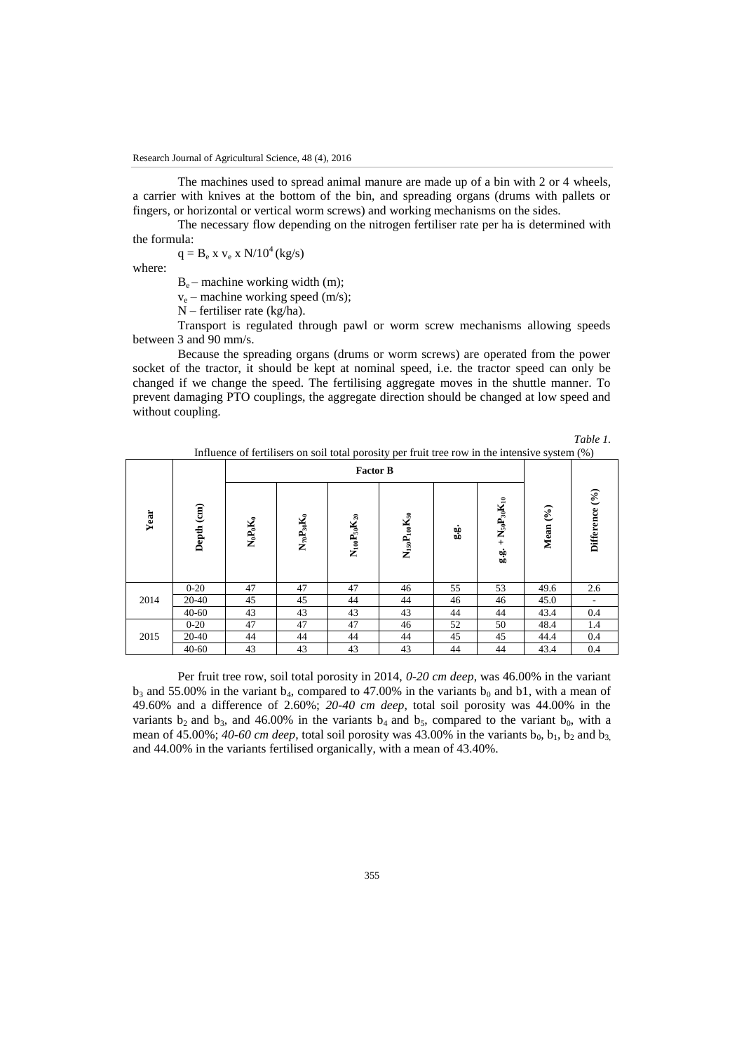The machines used to spread animal manure are made up of a bin with 2 or 4 wheels, a carrier with knives at the bottom of the bin, and spreading organs (drums with pallets or fingers, or horizontal or vertical worm screws) and working mechanisms on the sides.

The necessary flow depending on the nitrogen fertiliser rate per ha is determined with the formula:

 $q = B_e x v_e x N/10^4 (kg/s)$ 

where:

 $B_e$  – machine working width (m);

 $v_e$  – machine working speed (m/s);

N – fertiliser rate (kg/ha).

Transport is regulated through pawl or worm screw mechanisms allowing speeds between 3 and 90 mm/s.

Because the spreading organs (drums or worm screws) are operated from the power socket of the tractor, it should be kept at nominal speed, i.e. the tractor speed can only be changed if we change the speed. The fertilising aggregate moves in the shuttle manner. To prevent damaging PTO couplings, the aggregate direction should be changed at low speed and without coupling.

*Table 1.* 

|      |            |                 |                   |                       | minutive of refunders on son total porosity per france for in the intensive system (70) |     |                                                                   |          |                                      |
|------|------------|-----------------|-------------------|-----------------------|-----------------------------------------------------------------------------------------|-----|-------------------------------------------------------------------|----------|--------------------------------------|
|      | Depth (cm) | <b>Factor B</b> |                   |                       |                                                                                         |     |                                                                   |          |                                      |
| Year |            | $N_0P_0K_0$     | $N_{70}P_{30}K_0$ | $N_{100}P_{50}K_{20}$ | $N_{150}P_{100}K_{50}$                                                                  | 9.9 | $+$ N <sub>50</sub> P <sub>30</sub> K <sub>10</sub><br>$\ddot{a}$ | Mean (%) | $(\frac{6}{6})$<br><b>Difference</b> |
|      | $0 - 20$   | 47              | 47                | 47                    | 46                                                                                      | 55  | 53                                                                | 49.6     | 2.6                                  |
| 2014 | 20-40      | 45              | 45                | 44                    | 44                                                                                      | 46  | 46                                                                | 45.0     |                                      |
|      | $40 - 60$  | 43              | 43                | 43                    | 43                                                                                      | 44  | 44                                                                | 43.4     | 0.4                                  |
| 2015 | $0 - 20$   | 47              | 47                | 47                    | 46                                                                                      | 52  | 50                                                                | 48.4     | 1.4                                  |
|      | 20-40      | 44              | 44                | 44                    | 44                                                                                      | 45  | 45                                                                | 44.4     | 0.4                                  |
|      | $40 - 60$  | 43              | 43                | 43                    | 43                                                                                      | 44  | 44                                                                | 43.4     | 0.4                                  |

Influence of fertilisers on soil total porosity per fruit tree row in the intensive system (%)

Per fruit tree row, soil total porosity in 2014, *0-20 cm deep*, was 46.00% in the variant  $b_3$  and 55.00% in the variant  $b_4$ , compared to 47.00% in the variants  $b_0$  and b1, with a mean of 49.60% and a difference of 2.60%; *20-40 cm deep*, total soil porosity was 44.00% in the variants b<sub>2</sub> and b<sub>3</sub>, and 46.00% in the variants b<sub>4</sub> and b<sub>5</sub>, compared to the variant b<sub>0</sub>, with a mean of 45.00%;  $40-60$  cm deep, total soil porosity was 43.00% in the variants b<sub>0</sub>, b<sub>1</sub>, b<sub>2</sub> and b<sub>3</sub> and 44.00% in the variants fertilised organically, with a mean of 43.40%.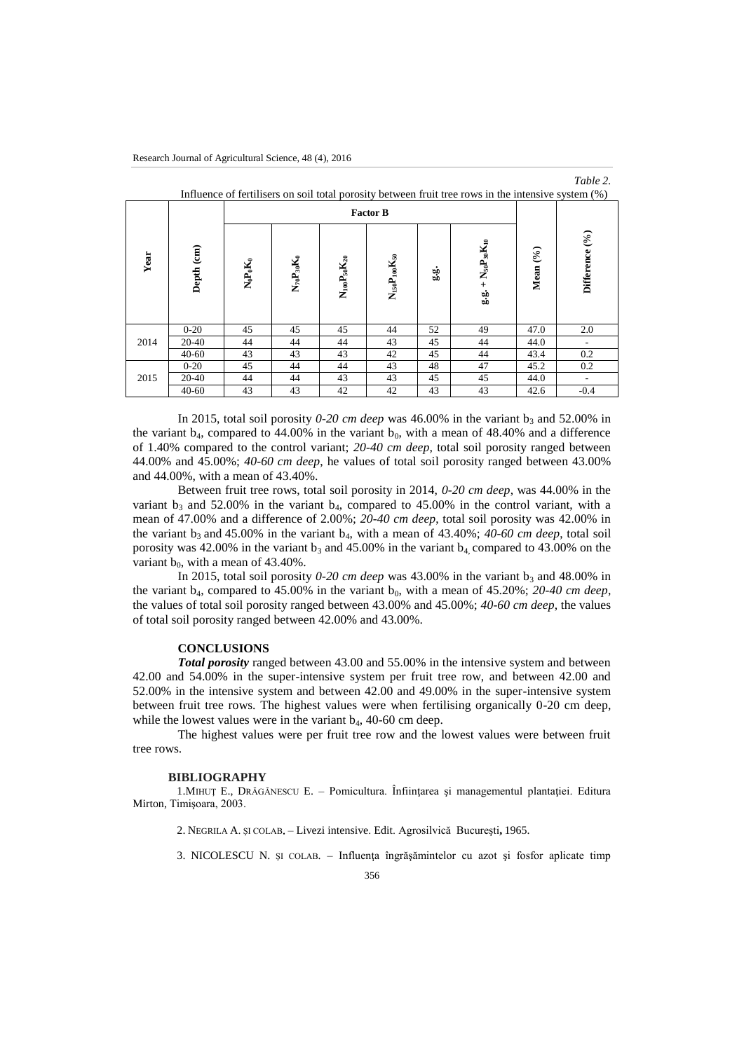|                                                                                                     |            |                 |                                                |                           |                        |     |                             |          | Table 2.       |  |  |
|-----------------------------------------------------------------------------------------------------|------------|-----------------|------------------------------------------------|---------------------------|------------------------|-----|-----------------------------|----------|----------------|--|--|
| Influence of fertilisers on soil total porosity between fruit tree rows in the intensive system (%) |            |                 |                                                |                           |                        |     |                             |          |                |  |  |
|                                                                                                     |            | <b>Factor B</b> |                                                |                           |                        |     |                             |          |                |  |  |
| Year                                                                                                | Depth (cm) | $N_0P_0K_0$     | $\mathbf{N}_{70}\mathbf{P}_{30}\mathbf{K}_{0}$ | $\rm N_{100}P_{50}K_{20}$ | $N_{150}P_{100}K_{50}$ | 9.9 | $g.g. + N_{50}P_{30}K_{10}$ | Mean (%) | Difference (%) |  |  |
| 2014                                                                                                | $0-20$     | 45              | 45                                             | 45                        | 44                     | 52  | 49                          | 47.0     | 2.0            |  |  |
|                                                                                                     | $20 - 40$  | 44              | 44                                             | 44                        | 43                     | 45  | 44                          | 44.0     |                |  |  |
|                                                                                                     | $40 - 60$  | 43              | 43                                             | 43                        | 42                     | 45  | 44                          | 43.4     | 0.2            |  |  |
| 2015                                                                                                | $0-20$     | 45              | 44                                             | 44                        | 43                     | 48  | 47                          | 45.2     | 0.2            |  |  |
|                                                                                                     | $20-40$    | 44              | 44                                             | 43                        | 43                     | 45  | 45                          | 44.0     |                |  |  |
|                                                                                                     | $40 - 60$  | 43              | 43                                             | 42                        | 42                     | 43  | 43                          | 42.6     | $-0.4$         |  |  |

In 2015, total soil porosity  $0\n-20$  cm deep was 46.00% in the variant  $b_3$  and 52.00% in the variant  $b_4$ , compared to 44.00% in the variant  $b_0$ , with a mean of 48.40% and a difference of 1.40% compared to the control variant; *20-40 cm deep,* total soil porosity ranged between 44.00% and 45.00%; *40-60 cm deep*, he values of total soil porosity ranged between 43.00% and 44.00%, with a mean of 43.40%.

Between fruit tree rows, total soil porosity in 2014, *0-20 cm deep*, was 44.00% in the variant  $b_3$  and 52.00% in the variant  $b_4$ , compared to 45.00% in the control variant, with a mean of 47.00% and a difference of 2.00%; *20-40 cm deep*, total soil porosity was 42.00% in the variant  $b_3$  and 45.00% in the variant  $b_4$ , with a mean of 43.40%; *40-60 cm deep*, total soil porosity was 42.00% in the variant  $b_3$  and 45.00% in the variant  $b_4$  compared to 43.00% on the variant  $b_0$ , with a mean of 43.40%.

In 2015, total soil porosity  $0\n-20$  cm deep was 43.00% in the variant  $b_3$  and 48.00% in the variant  $b_4$ , compared to 45.00% in the variant  $b_0$ , with a mean of 45.20%; 20-40 cm deep, the values of total soil porosity ranged between 43.00% and 45.00%; *40-60 cm deep*, the values of total soil porosity ranged between 42.00% and 43.00%.

### **CONCLUSIONS**

*Total porosity* ranged between 43.00 and 55.00% in the intensive system and between 42.00 and 54.00% in the super-intensive system per fruit tree row, and between 42.00 and 52.00% in the intensive system and between 42.00 and 49.00% in the super-intensive system between fruit tree rows. The highest values were when fertilising organically 0-20 cm deep, while the lowest values were in the variant  $b_4$ , 40-60 cm deep.

The highest values were per fruit tree row and the lowest values were between fruit tree rows.

#### **BIBLIOGRAPHY**

1.MIHUŢ E., DRĂGĂNESCU E. – Pomicultura. Înfiinţarea şi managementul plantaţiei. Editura Mirton, Timişoara, 2003.

- 2. NEGRILA A ŞI COLAB Livezi intensive Edit Agrosilvică Bucureşti**,** 1965.
- 3. NICOLESCU N. și colabea Influența îngrășămintelor cu azot și fosfor aplicate timp